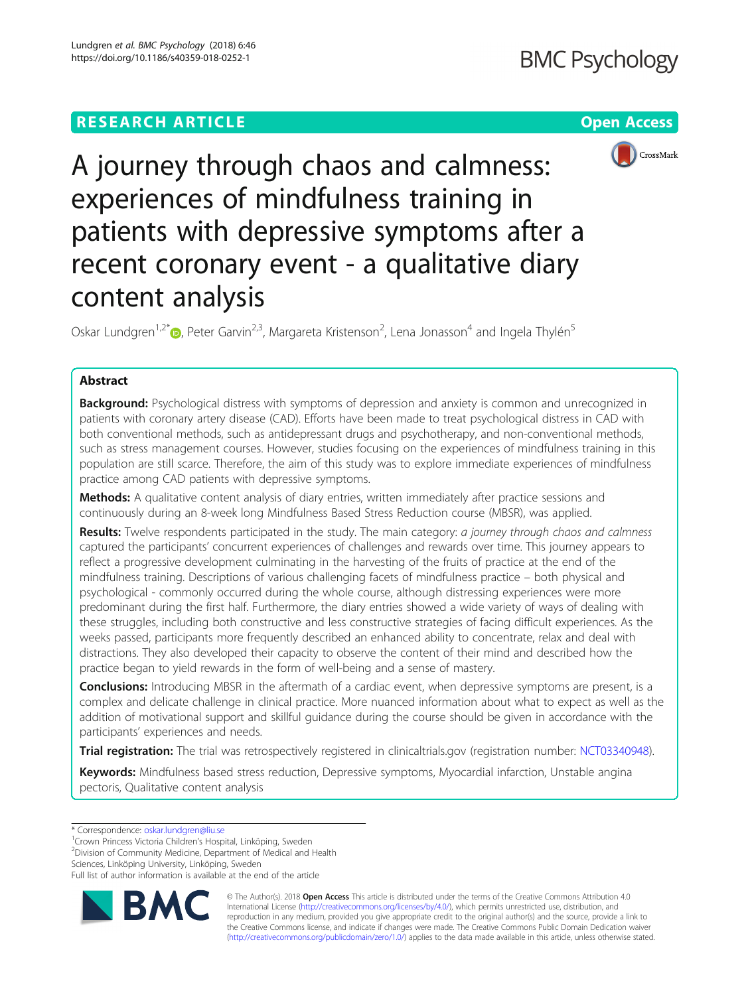

A journey through chaos and calmness: experiences of mindfulness training in patients with depressive symptoms after a recent coronary event - a qualitative diary content analysis

Oskar Lundgren<sup>1,2[\\*](http://orcid.org/0000-0001-7883-3895)</sup>®, Peter Garvin<sup>2,3</sup>, Margareta Kristenson<sup>2</sup>, Lena Jonasson<sup>4</sup> and Ingela Thylén<sup>5</sup>

# Abstract

**Background:** Psychological distress with symptoms of depression and anxiety is common and unrecognized in patients with coronary artery disease (CAD). Efforts have been made to treat psychological distress in CAD with both conventional methods, such as antidepressant drugs and psychotherapy, and non-conventional methods, such as stress management courses. However, studies focusing on the experiences of mindfulness training in this population are still scarce. Therefore, the aim of this study was to explore immediate experiences of mindfulness practice among CAD patients with depressive symptoms.

Methods: A qualitative content analysis of diary entries, written immediately after practice sessions and continuously during an 8-week long Mindfulness Based Stress Reduction course (MBSR), was applied.

Results: Twelve respondents participated in the study. The main category: a journey through chaos and calmness captured the participants' concurrent experiences of challenges and rewards over time. This journey appears to reflect a progressive development culminating in the harvesting of the fruits of practice at the end of the mindfulness training. Descriptions of various challenging facets of mindfulness practice – both physical and psychological - commonly occurred during the whole course, although distressing experiences were more predominant during the first half. Furthermore, the diary entries showed a wide variety of ways of dealing with these struggles, including both constructive and less constructive strategies of facing difficult experiences. As the weeks passed, participants more frequently described an enhanced ability to concentrate, relax and deal with distractions. They also developed their capacity to observe the content of their mind and described how the practice began to yield rewards in the form of well-being and a sense of mastery.

**Conclusions:** Introducing MBSR in the aftermath of a cardiac event, when depressive symptoms are present, is a complex and delicate challenge in clinical practice. More nuanced information about what to expect as well as the addition of motivational support and skillful guidance during the course should be given in accordance with the participants' experiences and needs.

Trial registration: The trial was retrospectively registered in clinicaltrials.gov (registration number: [NCT03340948\)](https://www.clinicaltrials.gov/ct2/show/record/NCT03340948?term=MIMIRA&rank=1).

Keywords: Mindfulness based stress reduction, Depressive symptoms, Myocardial infarction, Unstable angina pectoris, Qualitative content analysis

<sup>2</sup>Division of Community Medicine, Department of Medical and Health Sciences, Linköping University, Linköping, Sweden

Full list of author information is available at the end of the article



© The Author(s). 2018 Open Access This article is distributed under the terms of the Creative Commons Attribution 4.0 International License [\(http://creativecommons.org/licenses/by/4.0/](http://creativecommons.org/licenses/by/4.0/)), which permits unrestricted use, distribution, and reproduction in any medium, provided you give appropriate credit to the original author(s) and the source, provide a link to the Creative Commons license, and indicate if changes were made. The Creative Commons Public Domain Dedication waiver [\(http://creativecommons.org/publicdomain/zero/1.0/](http://creativecommons.org/publicdomain/zero/1.0/)) applies to the data made available in this article, unless otherwise stated.

<sup>\*</sup> Correspondence: [oskar.lundgren@liu.se](mailto:oskar.lundgren@liu.se) <sup>1</sup>

<sup>&</sup>lt;sup>1</sup> Crown Princess Victoria Children's Hospital, Linköping, Sweden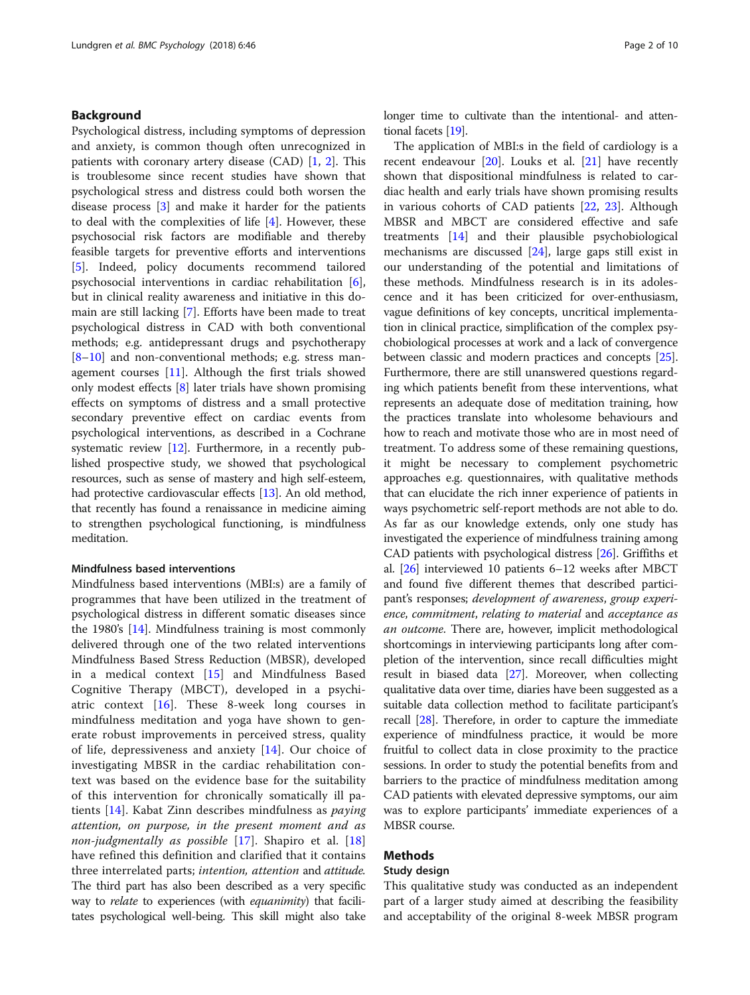## Background

Psychological distress, including symptoms of depression and anxiety, is common though often unrecognized in patients with coronary artery disease  $(CAD)$  [[1,](#page-8-0) [2](#page-8-0)]. This is troublesome since recent studies have shown that psychological stress and distress could both worsen the disease process [\[3](#page-8-0)] and make it harder for the patients to deal with the complexities of life [[4\]](#page-8-0). However, these psychosocial risk factors are modifiable and thereby feasible targets for preventive efforts and interventions [[5\]](#page-8-0). Indeed, policy documents recommend tailored psychosocial interventions in cardiac rehabilitation [\[6](#page-8-0)], but in clinical reality awareness and initiative in this domain are still lacking [\[7](#page-9-0)]. Efforts have been made to treat psychological distress in CAD with both conventional methods; e.g. antidepressant drugs and psychotherapy [[8](#page-9-0)–[10\]](#page-9-0) and non-conventional methods; e.g. stress management courses [\[11](#page-9-0)]. Although the first trials showed only modest effects [[8](#page-9-0)] later trials have shown promising effects on symptoms of distress and a small protective secondary preventive effect on cardiac events from psychological interventions, as described in a Cochrane systematic review [\[12\]](#page-9-0). Furthermore, in a recently published prospective study, we showed that psychological resources, such as sense of mastery and high self-esteem, had protective cardiovascular effects [[13](#page-9-0)]. An old method, that recently has found a renaissance in medicine aiming to strengthen psychological functioning, is mindfulness meditation.

# Mindfulness based interventions

Mindfulness based interventions (MBI:s) are a family of programmes that have been utilized in the treatment of psychological distress in different somatic diseases since the 1980's [[14\]](#page-9-0). Mindfulness training is most commonly delivered through one of the two related interventions Mindfulness Based Stress Reduction (MBSR), developed in a medical context [[15\]](#page-9-0) and Mindfulness Based Cognitive Therapy (MBCT), developed in a psychiatric context [[16](#page-9-0)]. These 8-week long courses in mindfulness meditation and yoga have shown to generate robust improvements in perceived stress, quality of life, depressiveness and anxiety [\[14](#page-9-0)]. Our choice of investigating MBSR in the cardiac rehabilitation context was based on the evidence base for the suitability of this intervention for chronically somatically ill patients [\[14](#page-9-0)]. Kabat Zinn describes mindfulness as paying attention, on purpose, in the present moment and as non-judgmentally as possible  $[17]$  $[17]$ . Shapiro et al.  $[18]$  $[18]$ have refined this definition and clarified that it contains three interrelated parts; intention, attention and attitude. The third part has also been described as a very specific way to *relate* to experiences (with *equanimity*) that facilitates psychological well-being. This skill might also take

longer time to cultivate than the intentional- and attentional facets [\[19](#page-9-0)].

The application of MBI:s in the field of cardiology is a recent endeavour  $[20]$  $[20]$  $[20]$ . Louks et al.  $[21]$  $[21]$  have recently shown that dispositional mindfulness is related to cardiac health and early trials have shown promising results in various cohorts of CAD patients [\[22,](#page-9-0) [23](#page-9-0)]. Although MBSR and MBCT are considered effective and safe treatments [\[14\]](#page-9-0) and their plausible psychobiological mechanisms are discussed [\[24](#page-9-0)], large gaps still exist in our understanding of the potential and limitations of these methods. Mindfulness research is in its adolescence and it has been criticized for over-enthusiasm, vague definitions of key concepts, uncritical implementation in clinical practice, simplification of the complex psychobiological processes at work and a lack of convergence between classic and modern practices and concepts [[25](#page-9-0)]. Furthermore, there are still unanswered questions regarding which patients benefit from these interventions, what represents an adequate dose of meditation training, how the practices translate into wholesome behaviours and how to reach and motivate those who are in most need of treatment. To address some of these remaining questions, it might be necessary to complement psychometric approaches e.g. questionnaires, with qualitative methods that can elucidate the rich inner experience of patients in ways psychometric self-report methods are not able to do. As far as our knowledge extends, only one study has investigated the experience of mindfulness training among CAD patients with psychological distress [[26](#page-9-0)]. Griffiths et al. [[26](#page-9-0)] interviewed 10 patients 6–12 weeks after MBCT and found five different themes that described participant's responses; development of awareness, group experience, commitment, relating to material and acceptance as an outcome. There are, however, implicit methodological shortcomings in interviewing participants long after completion of the intervention, since recall difficulties might result in biased data [[27](#page-9-0)]. Moreover, when collecting qualitative data over time, diaries have been suggested as a suitable data collection method to facilitate participant's recall [\[28\]](#page-9-0). Therefore, in order to capture the immediate experience of mindfulness practice, it would be more fruitful to collect data in close proximity to the practice sessions. In order to study the potential benefits from and barriers to the practice of mindfulness meditation among CAD patients with elevated depressive symptoms, our aim was to explore participants' immediate experiences of a MBSR course.

# Methods

#### Study design

This qualitative study was conducted as an independent part of a larger study aimed at describing the feasibility and acceptability of the original 8-week MBSR program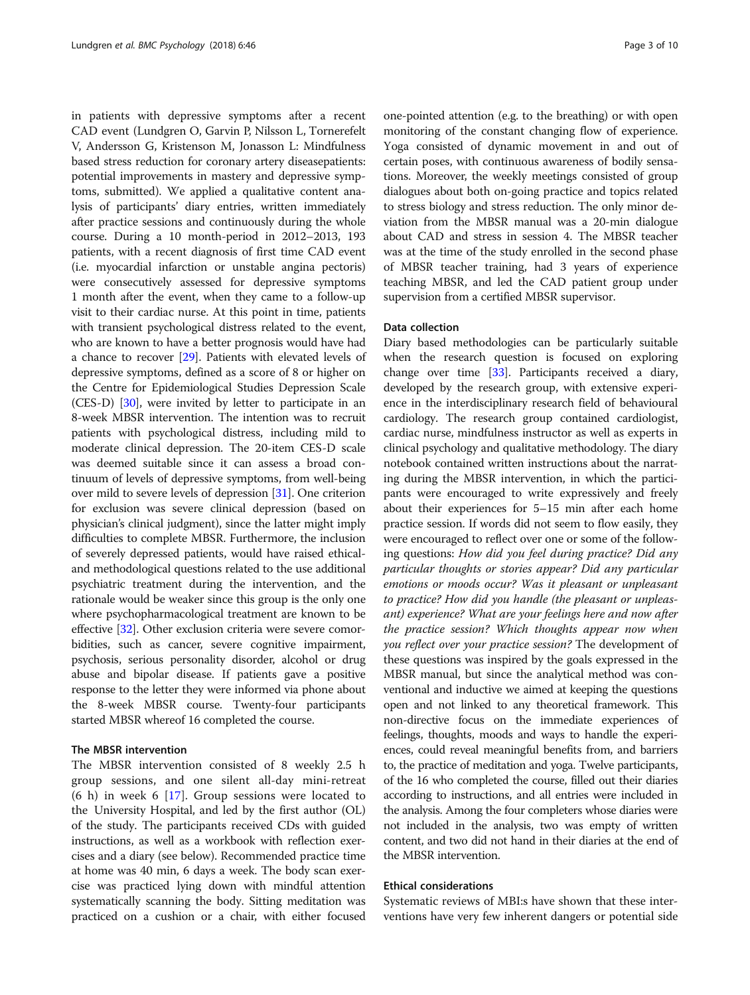in patients with depressive symptoms after a recent CAD event (Lundgren O, Garvin P, Nilsson L, Tornerefelt V, Andersson G, Kristenson M, Jonasson L: Mindfulness based stress reduction for coronary artery diseasepatients: potential improvements in mastery and depressive symptoms, submitted). We applied a qualitative content analysis of participants' diary entries, written immediately after practice sessions and continuously during the whole course. During a 10 month-period in 2012–2013, 193 patients, with a recent diagnosis of first time CAD event (i.e. myocardial infarction or unstable angina pectoris) were consecutively assessed for depressive symptoms 1 month after the event, when they came to a follow-up visit to their cardiac nurse. At this point in time, patients with transient psychological distress related to the event, who are known to have a better prognosis would have had a chance to recover [\[29\]](#page-9-0). Patients with elevated levels of depressive symptoms, defined as a score of 8 or higher on the Centre for Epidemiological Studies Depression Scale (CES-D) [\[30\]](#page-9-0), were invited by letter to participate in an 8-week MBSR intervention. The intention was to recruit patients with psychological distress, including mild to moderate clinical depression. The 20-item CES-D scale was deemed suitable since it can assess a broad continuum of levels of depressive symptoms, from well-being over mild to severe levels of depression [[31\]](#page-9-0). One criterion for exclusion was severe clinical depression (based on physician's clinical judgment), since the latter might imply difficulties to complete MBSR. Furthermore, the inclusion of severely depressed patients, would have raised ethicaland methodological questions related to the use additional psychiatric treatment during the intervention, and the rationale would be weaker since this group is the only one where psychopharmacological treatment are known to be effective [[32](#page-9-0)]. Other exclusion criteria were severe comorbidities, such as cancer, severe cognitive impairment, psychosis, serious personality disorder, alcohol or drug abuse and bipolar disease. If patients gave a positive response to the letter they were informed via phone about the 8-week MBSR course. Twenty-four participants started MBSR whereof 16 completed the course.

## The MBSR intervention

The MBSR intervention consisted of 8 weekly 2.5 h group sessions, and one silent all-day mini-retreat  $(6 h)$  in week 6 [[17\]](#page-9-0). Group sessions were located to the University Hospital, and led by the first author (OL) of the study. The participants received CDs with guided instructions, as well as a workbook with reflection exercises and a diary (see below). Recommended practice time at home was 40 min, 6 days a week. The body scan exercise was practiced lying down with mindful attention systematically scanning the body. Sitting meditation was practiced on a cushion or a chair, with either focused one-pointed attention (e.g. to the breathing) or with open monitoring of the constant changing flow of experience. Yoga consisted of dynamic movement in and out of certain poses, with continuous awareness of bodily sensations. Moreover, the weekly meetings consisted of group dialogues about both on-going practice and topics related to stress biology and stress reduction. The only minor deviation from the MBSR manual was a 20-min dialogue about CAD and stress in session 4. The MBSR teacher was at the time of the study enrolled in the second phase of MBSR teacher training, had 3 years of experience teaching MBSR, and led the CAD patient group under supervision from a certified MBSR supervisor.

## Data collection

Diary based methodologies can be particularly suitable when the research question is focused on exploring change over time [\[33\]](#page-9-0). Participants received a diary, developed by the research group, with extensive experience in the interdisciplinary research field of behavioural cardiology. The research group contained cardiologist, cardiac nurse, mindfulness instructor as well as experts in clinical psychology and qualitative methodology. The diary notebook contained written instructions about the narrating during the MBSR intervention, in which the participants were encouraged to write expressively and freely about their experiences for 5–15 min after each home practice session. If words did not seem to flow easily, they were encouraged to reflect over one or some of the following questions: How did you feel during practice? Did any particular thoughts or stories appear? Did any particular emotions or moods occur? Was it pleasant or unpleasant to practice? How did you handle (the pleasant or unpleasant) experience? What are your feelings here and now after the practice session? Which thoughts appear now when you reflect over your practice session? The development of these questions was inspired by the goals expressed in the MBSR manual, but since the analytical method was conventional and inductive we aimed at keeping the questions open and not linked to any theoretical framework. This non-directive focus on the immediate experiences of feelings, thoughts, moods and ways to handle the experiences, could reveal meaningful benefits from, and barriers to, the practice of meditation and yoga. Twelve participants, of the 16 who completed the course, filled out their diaries according to instructions, and all entries were included in the analysis. Among the four completers whose diaries were not included in the analysis, two was empty of written content, and two did not hand in their diaries at the end of the MBSR intervention.

## Ethical considerations

Systematic reviews of MBI:s have shown that these interventions have very few inherent dangers or potential side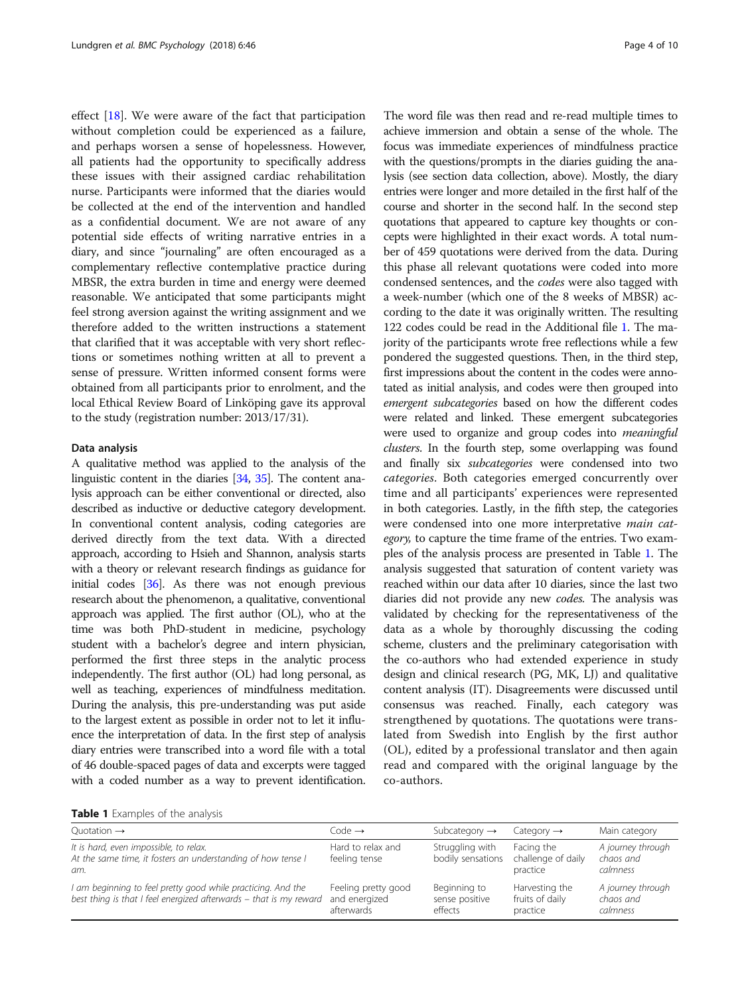effect  $[18]$  $[18]$  $[18]$ . We were aware of the fact that participation without completion could be experienced as a failure, and perhaps worsen a sense of hopelessness. However, all patients had the opportunity to specifically address these issues with their assigned cardiac rehabilitation nurse. Participants were informed that the diaries would be collected at the end of the intervention and handled as a confidential document. We are not aware of any potential side effects of writing narrative entries in a diary, and since "journaling" are often encouraged as a complementary reflective contemplative practice during MBSR, the extra burden in time and energy were deemed reasonable. We anticipated that some participants might feel strong aversion against the writing assignment and we therefore added to the written instructions a statement that clarified that it was acceptable with very short reflections or sometimes nothing written at all to prevent a sense of pressure. Written informed consent forms were obtained from all participants prior to enrolment, and the local Ethical Review Board of Linköping gave its approval to the study (registration number: 2013/17/31).

#### Data analysis

A qualitative method was applied to the analysis of the linguistic content in the diaries [[34](#page-9-0), [35](#page-9-0)]. The content analysis approach can be either conventional or directed, also described as inductive or deductive category development. In conventional content analysis, coding categories are derived directly from the text data. With a directed approach, according to Hsieh and Shannon, analysis starts with a theory or relevant research findings as guidance for initial codes [[36\]](#page-9-0). As there was not enough previous research about the phenomenon, a qualitative, conventional approach was applied. The first author (OL), who at the time was both PhD-student in medicine, psychology student with a bachelor's degree and intern physician, performed the first three steps in the analytic process independently. The first author (OL) had long personal, as well as teaching, experiences of mindfulness meditation. During the analysis, this pre-understanding was put aside to the largest extent as possible in order not to let it influence the interpretation of data. In the first step of analysis diary entries were transcribed into a word file with a total of 46 double-spaced pages of data and excerpts were tagged with a coded number as a way to prevent identification.

The word file was then read and re-read multiple times to achieve immersion and obtain a sense of the whole. The focus was immediate experiences of mindfulness practice with the questions/prompts in the diaries guiding the analysis (see section data collection, above). Mostly, the diary entries were longer and more detailed in the first half of the course and shorter in the second half. In the second step quotations that appeared to capture key thoughts or concepts were highlighted in their exact words. A total number of 459 quotations were derived from the data. During this phase all relevant quotations were coded into more condensed sentences, and the codes were also tagged with a week-number (which one of the 8 weeks of MBSR) according to the date it was originally written. The resulting 122 codes could be read in the Additional file [1](#page-8-0). The majority of the participants wrote free reflections while a few pondered the suggested questions. Then, in the third step, first impressions about the content in the codes were annotated as initial analysis, and codes were then grouped into emergent subcategories based on how the different codes were related and linked. These emergent subcategories were used to organize and group codes into meaningful clusters. In the fourth step, some overlapping was found and finally six subcategories were condensed into two categories. Both categories emerged concurrently over time and all participants' experiences were represented in both categories. Lastly, in the fifth step, the categories were condensed into one more interpretative main category, to capture the time frame of the entries. Two examples of the analysis process are presented in Table 1. The analysis suggested that saturation of content variety was reached within our data after 10 diaries, since the last two diaries did not provide any new codes. The analysis was validated by checking for the representativeness of the data as a whole by thoroughly discussing the coding scheme, clusters and the preliminary categorisation with the co-authors who had extended experience in study design and clinical research (PG, MK, LJ) and qualitative content analysis (IT). Disagreements were discussed until consensus was reached. Finally, each category was strengthened by quotations. The quotations were translated from Swedish into English by the first author (OL), edited by a professional translator and then again read and compared with the original language by the co-authors.

#### Table 1 Examples of the analysis

| Ouotation $\rightarrow$                                                                                                            | Code $\rightarrow$                                 | Subcategory $\rightarrow$                 | Category $\rightarrow$                        | Main category                              |
|------------------------------------------------------------------------------------------------------------------------------------|----------------------------------------------------|-------------------------------------------|-----------------------------------------------|--------------------------------------------|
| It is hard, even impossible, to relax.<br>At the same time, it fosters an understanding of how tense I<br>am.                      | Hard to relax and<br>feeling tense                 | Struggling with<br>bodily sensations      | Facing the<br>challenge of daily<br>practice  | A journey through<br>chaos and<br>calmness |
| I am beginning to feel pretty good while practicing. And the<br>best thing is that I feel energized afterwards - that is my reward | Feeling pretty good<br>and energized<br>afterwards | Beginning to<br>sense positive<br>effects | Harvesting the<br>fruits of daily<br>practice | A journey through<br>chaos and<br>calmness |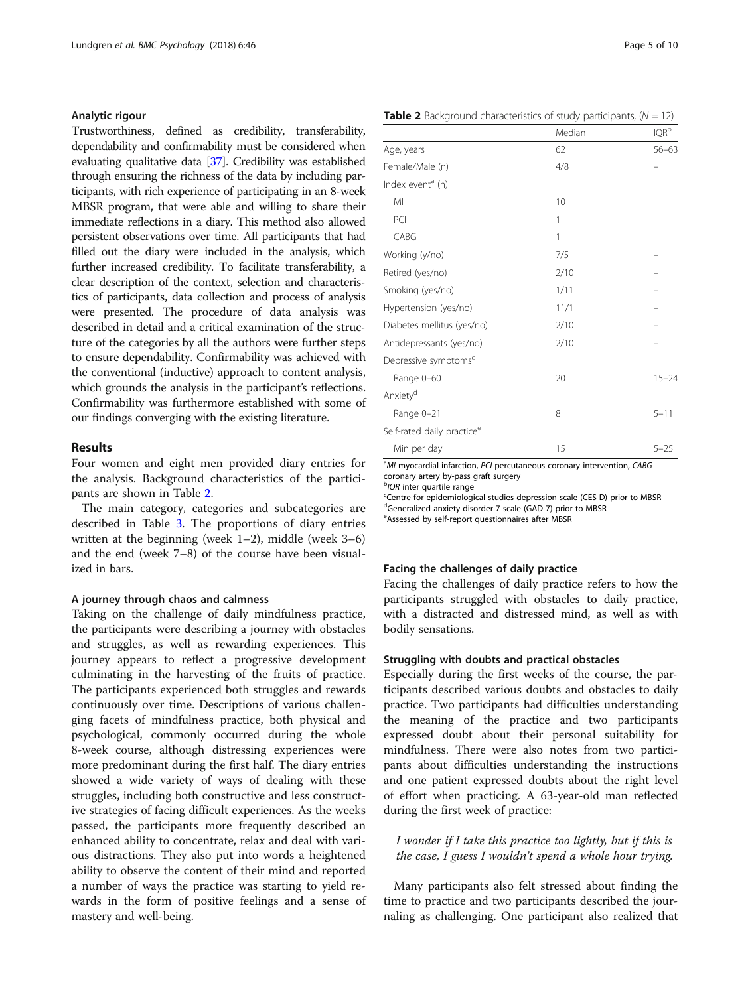## Analytic rigour

Trustworthiness, defined as credibility, transferability, dependability and confirmability must be considered when evaluating qualitative data [\[37](#page-9-0)]. Credibility was established through ensuring the richness of the data by including participants, with rich experience of participating in an 8-week MBSR program, that were able and willing to share their immediate reflections in a diary. This method also allowed persistent observations over time. All participants that had filled out the diary were included in the analysis, which further increased credibility. To facilitate transferability, a clear description of the context, selection and characteristics of participants, data collection and process of analysis were presented. The procedure of data analysis was described in detail and a critical examination of the structure of the categories by all the authors were further steps to ensure dependability. Confirmability was achieved with the conventional (inductive) approach to content analysis, which grounds the analysis in the participant's reflections. Confirmability was furthermore established with some of our findings converging with the existing literature.

## Results

Four women and eight men provided diary entries for the analysis. Background characteristics of the participants are shown in Table 2.

The main category, categories and subcategories are described in Table [3.](#page-5-0) The proportions of diary entries written at the beginning (week 1–2), middle (week 3–6) and the end (week 7–8) of the course have been visualized in bars.

#### A journey through chaos and calmness

Taking on the challenge of daily mindfulness practice, the participants were describing a journey with obstacles and struggles, as well as rewarding experiences. This journey appears to reflect a progressive development culminating in the harvesting of the fruits of practice. The participants experienced both struggles and rewards continuously over time. Descriptions of various challenging facets of mindfulness practice, both physical and psychological, commonly occurred during the whole 8-week course, although distressing experiences were more predominant during the first half. The diary entries showed a wide variety of ways of dealing with these struggles, including both constructive and less constructive strategies of facing difficult experiences. As the weeks passed, the participants more frequently described an enhanced ability to concentrate, relax and deal with various distractions. They also put into words a heightened ability to observe the content of their mind and reported a number of ways the practice was starting to yield rewards in the form of positive feelings and a sense of mastery and well-being.

| Age, years                             | 62   | $56 - 63$ |
|----------------------------------------|------|-----------|
| Female/Male (n)                        | 4/8  |           |
| Index event <sup>a</sup> (n)           |      |           |
| MI                                     | 10   |           |
| PCI                                    | 1    |           |
| CABG                                   | 1    |           |
| Working (y/no)                         | 7/5  |           |
| Retired (yes/no)                       | 2/10 |           |
| Smoking (yes/no)                       | 1/11 |           |
| Hypertension (yes/no)                  | 11/1 |           |
| Diabetes mellitus (yes/no)             | 2/10 |           |
| Antidepressants (yes/no)               | 2/10 |           |
| Depressive symptoms <sup>c</sup>       |      |           |
| Range 0-60                             | 20   | $15 - 24$ |
| Anxiety <sup>d</sup>                   |      |           |
| Range 0-21                             | 8    | $5 - 11$  |
| Self-rated daily practice <sup>e</sup> |      |           |

<sup>a</sup>MI myocardial infarction, PCI percutaneous coronary intervention, CABG<br>coronary artery by-pass graft surgery coronary artery by-pass graft surgery

Min per day 15 5–25

 $b$  IQR inter quartile range

Centre for epidemiological studies depression scale (CES-D) prior to MBSR <sup>d</sup>Generalized anxiety disorder 7 scale (GAD-7) prior to MBSR e<br>Assessed by self-report questionnaires after MBSR

#### Facing the challenges of daily practice

Facing the challenges of daily practice refers to how the participants struggled with obstacles to daily practice, with a distracted and distressed mind, as well as with bodily sensations.

#### Struggling with doubts and practical obstacles

Especially during the first weeks of the course, the participants described various doubts and obstacles to daily practice. Two participants had difficulties understanding the meaning of the practice and two participants expressed doubt about their personal suitability for mindfulness. There were also notes from two participants about difficulties understanding the instructions and one patient expressed doubts about the right level of effort when practicing. A 63-year-old man reflected during the first week of practice:

# I wonder if I take this practice too lightly, but if this is the case, I guess I wouldn't spend a whole hour trying.

Many participants also felt stressed about finding the time to practice and two participants described the journaling as challenging. One participant also realized that

**Table 2** Background characteristics of study participants,  $(N = 12)$ 

Median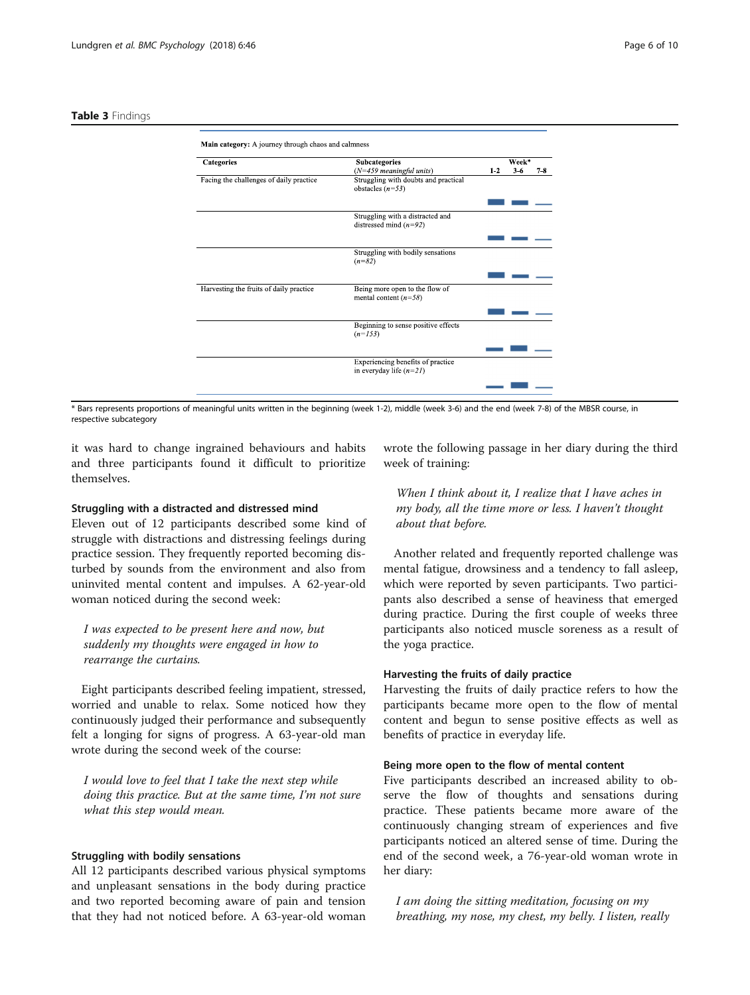#### <span id="page-5-0"></span>Table 3 Findings

| Categories                              | <b>Subcategories</b>                                           |                | Week* |    |
|-----------------------------------------|----------------------------------------------------------------|----------------|-------|----|
|                                         | $(N=459$ meaningful units)                                     | 1 <sub>2</sub> | $3-6$ | 78 |
| Facing the challenges of daily practice | Struggling with doubts and practical<br>obstacles $(n=53)$     |                |       |    |
|                                         |                                                                |                |       |    |
|                                         | Struggling with a distracted and<br>distressed mind $(n=92)$   |                |       |    |
|                                         |                                                                |                |       |    |
|                                         | Struggling with bodily sensations<br>$(n=82)$                  |                |       |    |
|                                         |                                                                |                |       |    |
| Harvesting the fruits of daily practice | Being more open to the flow of<br>mental content $(n=58)$      |                |       |    |
|                                         |                                                                |                |       |    |
|                                         | Beginning to sense positive effects<br>$(n=153)$               |                |       |    |
|                                         |                                                                |                |       |    |
|                                         | Experiencing benefits of practice<br>in everyday life $(n=21)$ |                |       |    |
|                                         |                                                                |                |       |    |

\* Bars represents proportions of meaningful units written in the beginning (week 1-2), middle (week 3-6) and the end (week 7-8) of the MBSR course, in respective subcategory

it was hard to change ingrained behaviours and habits and three participants found it difficult to prioritize themselves.

## Struggling with a distracted and distressed mind

Eleven out of 12 participants described some kind of struggle with distractions and distressing feelings during practice session. They frequently reported becoming disturbed by sounds from the environment and also from uninvited mental content and impulses. A 62-year-old woman noticed during the second week:

I was expected to be present here and now, but suddenly my thoughts were engaged in how to rearrange the curtains.

Eight participants described feeling impatient, stressed, worried and unable to relax. Some noticed how they continuously judged their performance and subsequently felt a longing for signs of progress. A 63-year-old man wrote during the second week of the course:

I would love to feel that I take the next step while doing this practice. But at the same time, I'm not sure what this step would mean.

## Struggling with bodily sensations

All 12 participants described various physical symptoms and unpleasant sensations in the body during practice and two reported becoming aware of pain and tension that they had not noticed before. A 63-year-old woman wrote the following passage in her diary during the third week of training:

When I think about it, I realize that I have aches in my body, all the time more or less. I haven't thought about that before.

Another related and frequently reported challenge was mental fatigue, drowsiness and a tendency to fall asleep, which were reported by seven participants. Two participants also described a sense of heaviness that emerged during practice. During the first couple of weeks three participants also noticed muscle soreness as a result of the yoga practice.

## Harvesting the fruits of daily practice

Harvesting the fruits of daily practice refers to how the participants became more open to the flow of mental content and begun to sense positive effects as well as benefits of practice in everyday life.

## Being more open to the flow of mental content

Five participants described an increased ability to observe the flow of thoughts and sensations during practice. These patients became more aware of the continuously changing stream of experiences and five participants noticed an altered sense of time. During the end of the second week, a 76-year-old woman wrote in her diary:

I am doing the sitting meditation, focusing on my breathing, my nose, my chest, my belly. I listen, really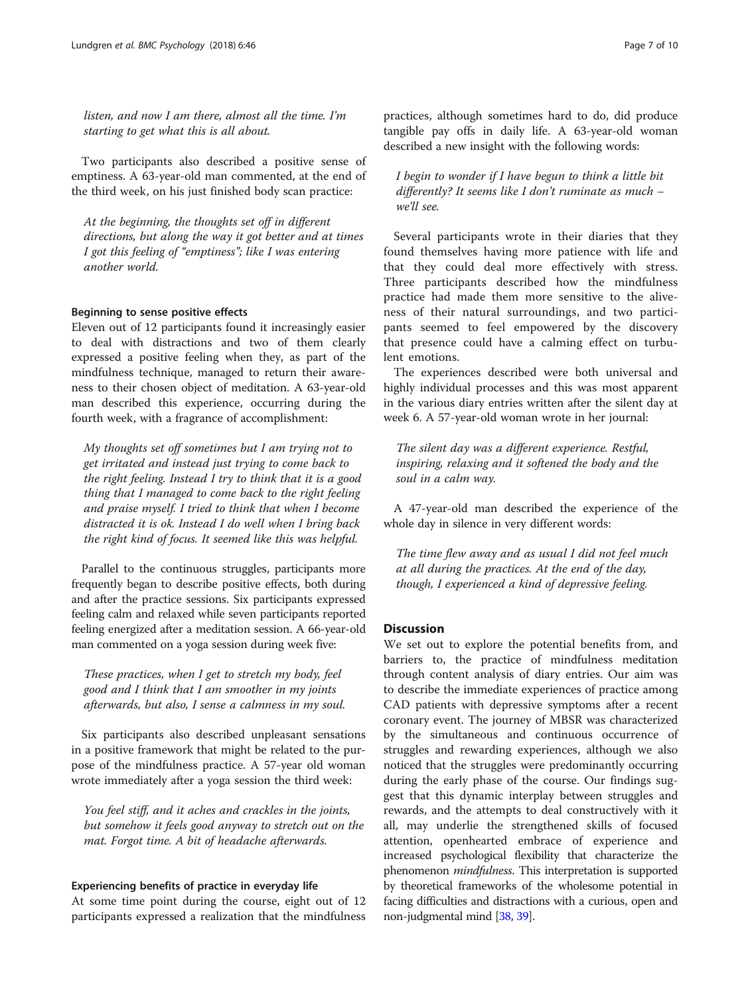listen, and now I am there, almost all the time. I'm starting to get what this is all about.

Two participants also described a positive sense of emptiness. A 63-year-old man commented, at the end of the third week, on his just finished body scan practice:

At the beginning, the thoughts set off in different directions, but along the way it got better and at times I got this feeling of "emptiness"; like I was entering another world.

## Beginning to sense positive effects

Eleven out of 12 participants found it increasingly easier to deal with distractions and two of them clearly expressed a positive feeling when they, as part of the mindfulness technique, managed to return their awareness to their chosen object of meditation. A 63-year-old man described this experience, occurring during the fourth week, with a fragrance of accomplishment:

My thoughts set off sometimes but I am trying not to get irritated and instead just trying to come back to the right feeling. Instead I try to think that it is a good thing that I managed to come back to the right feeling and praise myself. I tried to think that when I become distracted it is ok. Instead I do well when I bring back the right kind of focus. It seemed like this was helpful.

Parallel to the continuous struggles, participants more frequently began to describe positive effects, both during and after the practice sessions. Six participants expressed feeling calm and relaxed while seven participants reported feeling energized after a meditation session. A 66-year-old man commented on a yoga session during week five:

These practices, when I get to stretch my body, feel good and I think that I am smoother in my joints afterwards, but also, I sense a calmness in my soul.

Six participants also described unpleasant sensations in a positive framework that might be related to the purpose of the mindfulness practice. A 57-year old woman wrote immediately after a yoga session the third week:

You feel stiff, and it aches and crackles in the joints, but somehow it feels good anyway to stretch out on the mat. Forgot time. A bit of headache afterwards.

## Experiencing benefits of practice in everyday life

At some time point during the course, eight out of 12 participants expressed a realization that the mindfulness

practices, although sometimes hard to do, did produce tangible pay offs in daily life. A 63-year-old woman described a new insight with the following words:

I begin to wonder if I have begun to think a little bit differently? It seems like I don't ruminate as much – we'll see.

Several participants wrote in their diaries that they found themselves having more patience with life and that they could deal more effectively with stress. Three participants described how the mindfulness practice had made them more sensitive to the aliveness of their natural surroundings, and two participants seemed to feel empowered by the discovery that presence could have a calming effect on turbulent emotions.

The experiences described were both universal and highly individual processes and this was most apparent in the various diary entries written after the silent day at week 6. A 57-year-old woman wrote in her journal:

The silent day was a different experience. Restful, inspiring, relaxing and it softened the body and the soul in a calm way.

A 47-year-old man described the experience of the whole day in silence in very different words:

The time flew away and as usual I did not feel much at all during the practices. At the end of the day, though, I experienced a kind of depressive feeling.

## **Discussion**

We set out to explore the potential benefits from, and barriers to, the practice of mindfulness meditation through content analysis of diary entries. Our aim was to describe the immediate experiences of practice among CAD patients with depressive symptoms after a recent coronary event. The journey of MBSR was characterized by the simultaneous and continuous occurrence of struggles and rewarding experiences, although we also noticed that the struggles were predominantly occurring during the early phase of the course. Our findings suggest that this dynamic interplay between struggles and rewards, and the attempts to deal constructively with it all, may underlie the strengthened skills of focused attention, openhearted embrace of experience and increased psychological flexibility that characterize the phenomenon *mindfulness*. This interpretation is supported by theoretical frameworks of the wholesome potential in facing difficulties and distractions with a curious, open and non-judgmental mind [\[38,](#page-9-0) [39\]](#page-9-0).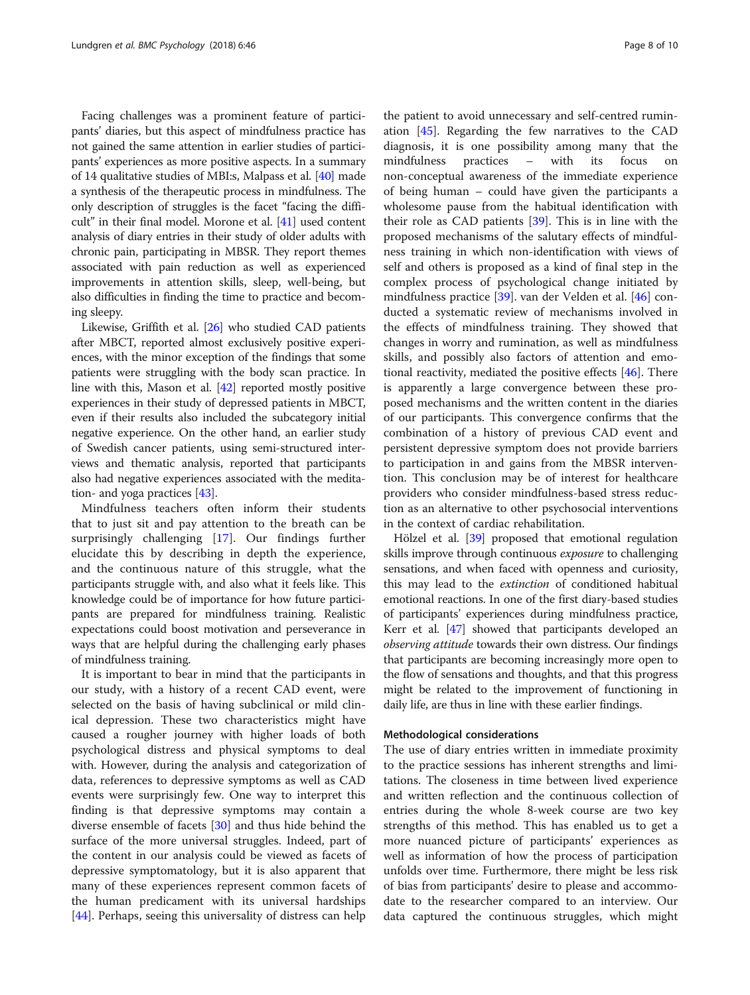Facing challenges was a prominent feature of participants' diaries, but this aspect of mindfulness practice has not gained the same attention in earlier studies of participants' experiences as more positive aspects. In a summary of 14 qualitative studies of MBI:s, Malpass et al. [\[40\]](#page-9-0) made a synthesis of the therapeutic process in mindfulness. The only description of struggles is the facet "facing the difficult" in their final model. Morone et al. [[41](#page-9-0)] used content analysis of diary entries in their study of older adults with chronic pain, participating in MBSR. They report themes associated with pain reduction as well as experienced improvements in attention skills, sleep, well-being, but also difficulties in finding the time to practice and becoming sleepy.

Likewise, Griffith et al. [[26](#page-9-0)] who studied CAD patients after MBCT, reported almost exclusively positive experiences, with the minor exception of the findings that some patients were struggling with the body scan practice. In line with this, Mason et al. [\[42\]](#page-9-0) reported mostly positive experiences in their study of depressed patients in MBCT, even if their results also included the subcategory initial negative experience. On the other hand, an earlier study of Swedish cancer patients, using semi-structured interviews and thematic analysis, reported that participants also had negative experiences associated with the meditation- and yoga practices [\[43\]](#page-9-0).

Mindfulness teachers often inform their students that to just sit and pay attention to the breath can be surprisingly challenging [[17](#page-9-0)]. Our findings further elucidate this by describing in depth the experience, and the continuous nature of this struggle, what the participants struggle with, and also what it feels like. This knowledge could be of importance for how future participants are prepared for mindfulness training. Realistic expectations could boost motivation and perseverance in ways that are helpful during the challenging early phases of mindfulness training.

It is important to bear in mind that the participants in our study, with a history of a recent CAD event, were selected on the basis of having subclinical or mild clinical depression. These two characteristics might have caused a rougher journey with higher loads of both psychological distress and physical symptoms to deal with. However, during the analysis and categorization of data, references to depressive symptoms as well as CAD events were surprisingly few. One way to interpret this finding is that depressive symptoms may contain a diverse ensemble of facets [[30](#page-9-0)] and thus hide behind the surface of the more universal struggles. Indeed, part of the content in our analysis could be viewed as facets of depressive symptomatology, but it is also apparent that many of these experiences represent common facets of the human predicament with its universal hardships [[44\]](#page-9-0). Perhaps, seeing this universality of distress can help

the patient to avoid unnecessary and self-centred rumination [\[45\]](#page-9-0). Regarding the few narratives to the CAD diagnosis, it is one possibility among many that the mindfulness practices – with its focus on non-conceptual awareness of the immediate experience of being human – could have given the participants a wholesome pause from the habitual identification with their role as CAD patients [[39\]](#page-9-0). This is in line with the proposed mechanisms of the salutary effects of mindfulness training in which non-identification with views of self and others is proposed as a kind of final step in the complex process of psychological change initiated by mindfulness practice [\[39](#page-9-0)]. van der Velden et al. [\[46](#page-9-0)] conducted a systematic review of mechanisms involved in the effects of mindfulness training. They showed that changes in worry and rumination, as well as mindfulness skills, and possibly also factors of attention and emotional reactivity, mediated the positive effects [\[46](#page-9-0)]. There is apparently a large convergence between these proposed mechanisms and the written content in the diaries of our participants. This convergence confirms that the combination of a history of previous CAD event and persistent depressive symptom does not provide barriers to participation in and gains from the MBSR intervention. This conclusion may be of interest for healthcare providers who consider mindfulness-based stress reduction as an alternative to other psychosocial interventions in the context of cardiac rehabilitation.

Hölzel et al. [[39](#page-9-0)] proposed that emotional regulation skills improve through continuous *exposure* to challenging sensations, and when faced with openness and curiosity, this may lead to the extinction of conditioned habitual emotional reactions. In one of the first diary-based studies of participants' experiences during mindfulness practice, Kerr et al. [\[47\]](#page-9-0) showed that participants developed an observing attitude towards their own distress. Our findings that participants are becoming increasingly more open to the flow of sensations and thoughts, and that this progress might be related to the improvement of functioning in daily life, are thus in line with these earlier findings.

#### Methodological considerations

The use of diary entries written in immediate proximity to the practice sessions has inherent strengths and limitations. The closeness in time between lived experience and written reflection and the continuous collection of entries during the whole 8-week course are two key strengths of this method. This has enabled us to get a more nuanced picture of participants' experiences as well as information of how the process of participation unfolds over time. Furthermore, there might be less risk of bias from participants' desire to please and accommodate to the researcher compared to an interview. Our data captured the continuous struggles, which might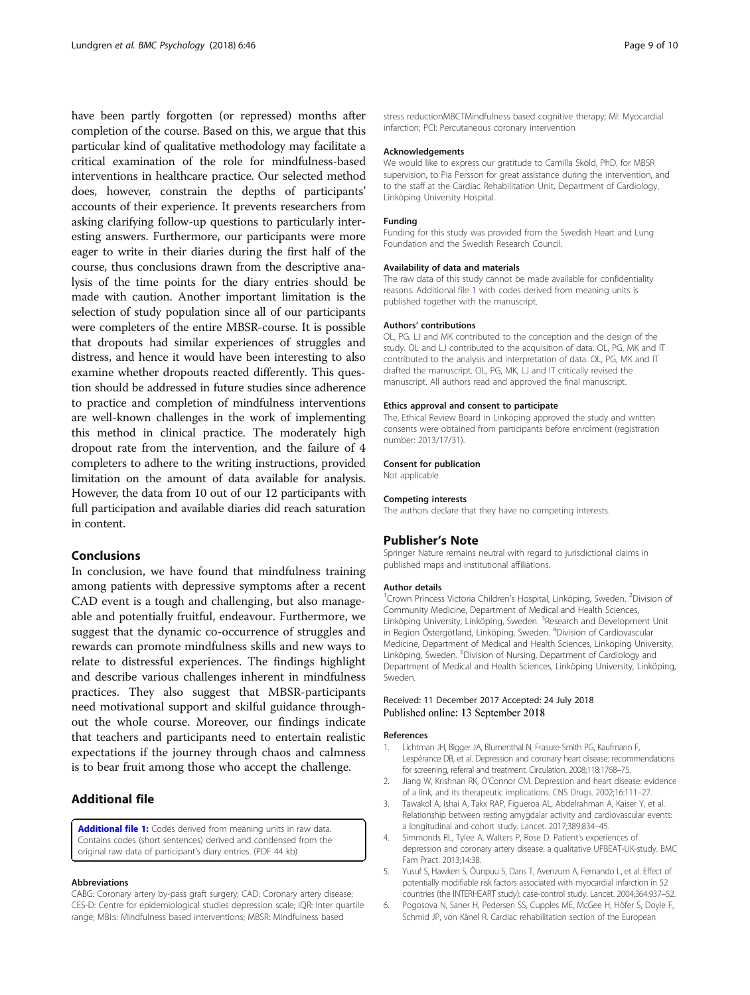<span id="page-8-0"></span>have been partly forgotten (or repressed) months after completion of the course. Based on this, we argue that this particular kind of qualitative methodology may facilitate a critical examination of the role for mindfulness-based interventions in healthcare practice. Our selected method does, however, constrain the depths of participants' accounts of their experience. It prevents researchers from asking clarifying follow-up questions to particularly interesting answers. Furthermore, our participants were more eager to write in their diaries during the first half of the course, thus conclusions drawn from the descriptive analysis of the time points for the diary entries should be made with caution. Another important limitation is the selection of study population since all of our participants were completers of the entire MBSR-course. It is possible that dropouts had similar experiences of struggles and distress, and hence it would have been interesting to also examine whether dropouts reacted differently. This question should be addressed in future studies since adherence to practice and completion of mindfulness interventions are well-known challenges in the work of implementing this method in clinical practice. The moderately high dropout rate from the intervention, and the failure of 4 completers to adhere to the writing instructions, provided limitation on the amount of data available for analysis. However, the data from 10 out of our 12 participants with full participation and available diaries did reach saturation in content.

## Conclusions

In conclusion, we have found that mindfulness training among patients with depressive symptoms after a recent CAD event is a tough and challenging, but also manageable and potentially fruitful, endeavour. Furthermore, we suggest that the dynamic co-occurrence of struggles and rewards can promote mindfulness skills and new ways to relate to distressful experiences. The findings highlight and describe various challenges inherent in mindfulness practices. They also suggest that MBSR-participants need motivational support and skilful guidance throughout the whole course. Moreover, our findings indicate that teachers and participants need to entertain realistic expectations if the journey through chaos and calmness is to bear fruit among those who accept the challenge.

## Additional file

[Additional file 1:](https://doi.org/10.1186/s40359-018-0252-1) Codes derived from meaning units in raw data. Contains codes (short sentences) derived and condensed from the original raw data of participant's diary entries. (PDF 44 kb)

#### Abbreviations

CABG: Coronary artery by-pass graft surgery; CAD: Coronary artery disease; CES-D: Centre for epidemiological studies depression scale; IQR: Inter quartile range; MBI:s: Mindfulness based interventions; MBSR: Mindfulness based

stress reductionMBCTMindfulness based cognitive therapy; MI: Myocardial infarction; PCI: Percutaneous coronary intervention

#### Acknowledgements

We would like to express our gratitude to Camilla Sköld, PhD, for MBSR supervision, to Pia Persson for great assistance during the intervention, and to the staff at the Cardiac Rehabilitation Unit, Department of Cardiology, Linköping University Hospital.

#### Funding

Funding for this study was provided from the Swedish Heart and Lung Foundation and the Swedish Research Council.

#### Availability of data and materials

The raw data of this study cannot be made available for confidentiality reasons. Additional file 1 with codes derived from meaning units is published together with the manuscript.

#### Authors' contributions

OL, PG, LJ and MK contributed to the conception and the design of the study. OL and LJ contributed to the acquisition of data. OL, PG, MK and IT contributed to the analysis and interpretation of data. OL, PG, MK and IT drafted the manuscript. OL, PG, MK, LJ and IT critically revised the manuscript. All authors read and approved the final manuscript.

#### Ethics approval and consent to participate

The, Ethical Review Board in Linköping approved the study and written consents were obtained from participants before enrolment (registration number: 2013/17/31).

#### Consent for publication

Not applicable

#### Competing interests

The authors declare that they have no competing interests.

#### Publisher's Note

Springer Nature remains neutral with regard to jurisdictional claims in published maps and institutional affiliations.

#### Author details

<sup>1</sup> Crown Princess Victoria Children's Hospital, Linköping, Sweden. <sup>2</sup> Division of Community Medicine, Department of Medical and Health Sciences, Linköping University, Linköping, Sweden. <sup>3</sup>Research and Development Unit in Region Östergötland, Linköping, Sweden. <sup>4</sup>Division of Cardiovascular Medicine, Department of Medical and Health Sciences, Linköping University, Linköping, Sweden. <sup>5</sup>Division of Nursing, Department of Cardiology and Department of Medical and Health Sciences, Linköping University, Linköping, Sweden.

#### Received: 11 December 2017 Accepted: 24 July 2018 Published online: 13 September 2018

#### References

- 1. Lichtman JH, Bigger JA, Blumenthal N, Frasure-Smith PG, Kaufmann F, Lespérance DB, et al. Depression and coronary heart disease: recommendations for screening, referral and treatment. Circulation. 2008;118:1768–75.
- 2. Jiang W, Krishnan RK, O'Connor CM. Depression and heart disease: evidence of a link, and its therapeutic implications. CNS Drugs. 2002;16:111–27.
- 3. Tawakol A, Ishai A, Takx RAP, Figueroa AL, Abdelrahman A, Kaiser Y, et al. Relationship between resting amygdalar activity and cardiovascular events: a longitudinal and cohort study. Lancet. 2017;389:834–45.
- 4. Simmonds RL, Tylee A, Walters P, Rose D. Patient's experiences of depression and coronary artery disease: a qualitative UPBEAT-UK-study. BMC Fam Pract. 2013;14:38.
- 5. Yusuf S, Hawken S, Ôunpuu S, Dans T, Avenzum A, Fernando L, et al. Effect of potentially modifiable risk factors associated with myocardial infarction in 52 countries (the INTERHEART study): case-control study. Lancet. 2004;364:937–52.
- 6. Pogosova N, Saner H, Pedersen SS, Cupples ME, McGee H, Höfer S, Doyle F, Schmid JP, von Känel R. Cardiac rehabilitation section of the European